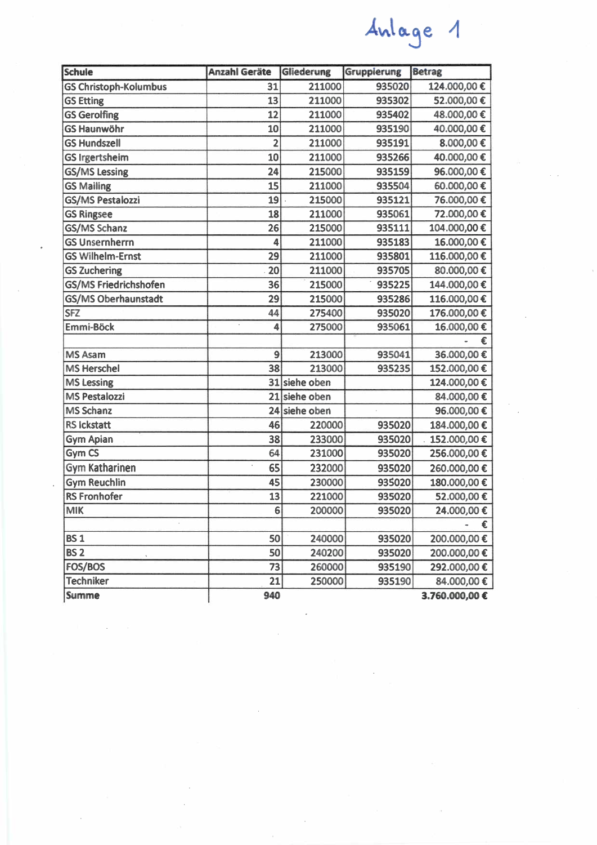| <b>Schule</b>                | <b>Anzahl Geräte</b> | Gliederung    | Gruppierung | <b>Betrag</b>  |
|------------------------------|----------------------|---------------|-------------|----------------|
| <b>GS Christoph-Kolumbus</b> | 31                   | 211000        | 935020      | 124.000,00€    |
| <b>GS Etting</b>             | 13                   | 211000        | 935302      | 52.000,00€     |
| <b>GS Gerolfing</b>          | 12                   | 211000        | 935402      | 48.000,00€     |
| <b>GS Haunwöhr</b>           | 10                   | 211000        | 935190      | 40.000,00€     |
| <b>GS Hundszell</b>          | $\overline{2}$       | 211000        | 935191      | 8.000,00€      |
| <b>GS Irgertsheim</b>        | 10                   | 211000        | 935266      | 40.000,00€     |
| <b>GS/MS Lessing</b>         | 24                   | 215000        | 935159      | 96.000,00€     |
| <b>GS Mailing</b>            | 15                   | 211000        | 935504      | 60.000,00€     |
| <b>GS/MS Pestalozzi</b>      | 19                   | 215000        | 935121      | 76.000,00€     |
| <b>GS Ringsee</b>            | 18                   | 211000        | 935061      | 72.000,00€     |
| GS/MS Schanz                 | 26                   | 215000        | 935111      | 104.000,00€    |
| <b>GS Unsernherrn</b>        | 4                    | 211000        | 935183      | 16.000,00€     |
| <b>GS Wilhelm-Ernst</b>      | 29                   | 211000        | 935801      | 116.000,00€    |
| <b>GS Zuchering</b>          | 20                   | 211000        | 935705      | 80.000,00 €    |
| GS/MS Friedrichshofen        | 36                   | 215000        | 935225      | 144.000,00€    |
| <b>GS/MS Oberhaunstadt</b>   | 29                   | 215000        | 935286      | 116.000,00€    |
| <b>SFZ</b>                   | 44                   | 275400        | 935020      | 176.000,00€    |
| Emmi-Böck                    | 4                    | 275000        | 935061      | 16.000,00€     |
|                              |                      |               |             | €              |
| <b>MS Asam</b>               | $\overline{9}$       | 213000        | 935041      | 36.000,00€     |
| <b>MS Herschel</b>           | 38                   | 213000        | 935235      | 152.000,00€    |
| <b>MS Lessing</b>            |                      | 31 siehe oben |             | 124.000,00€    |
| <b>MS Pestalozzi</b>         | 21                   | siehe oben    |             | 84.000,00€     |
| <b>MS Schanz</b>             |                      | 24 siehe oben |             | 96.000,00€     |
| <b>RS Ickstatt</b>           | 46                   | 220000        | 935020      | 184.000,00€    |
| <b>Gym Apian</b>             | 38                   | 233000        | 935020      | 152.000,00€    |
| Gym CS                       | 64                   | 231000        | 935020      | 256.000,00€    |
| <b>Gym Katharinen</b>        | 65                   | 232000        | 935020      | 260.000,00€    |
| <b>Gym Reuchlin</b>          | 45                   | 230000        | 935020      | 180.000,00€    |
| <b>RS Fronhofer</b>          | 13                   | 221000        | 935020      | 52.000,00 €    |
| <b>MIK</b>                   | 6                    | 200000        | 935020      | 24.000,00€     |
|                              |                      |               |             | €              |
| <b>BS1</b>                   | 50                   | 240000        | 935020      | 200.000,00€    |
| <b>BS 2</b>                  | 50                   | 240200        | 935020      | 200.000,00€    |
| FOS/BOS                      | 73                   | 260000        | 935190      | 292.000,00 €   |
| <b>Techniker</b>             | 21                   | 250000        | 935190      | 84.000,00 €    |
| <b>Summe</b>                 | 940                  |               |             | 3.760.000,00 € |

 $\mathcal{L}^{\text{max}}_{\text{max}}$ 

Anlage 1